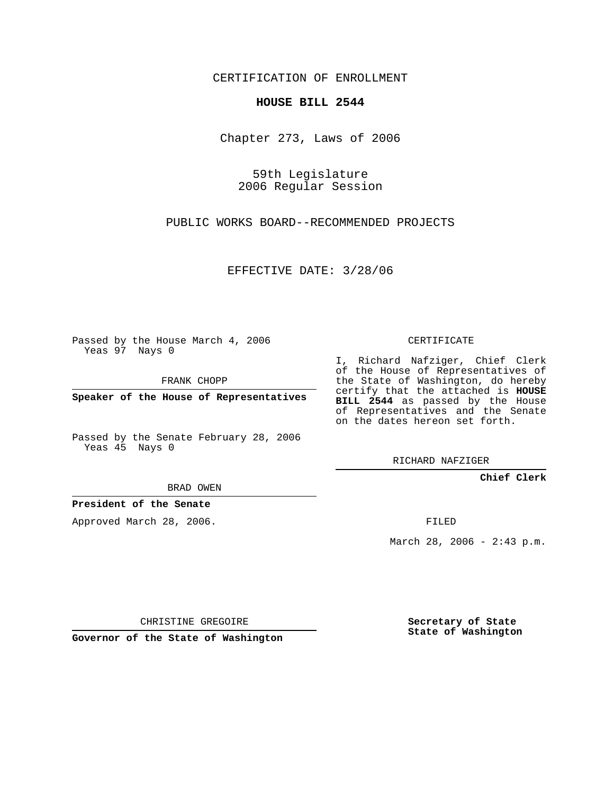CERTIFICATION OF ENROLLMENT

## **HOUSE BILL 2544**

Chapter 273, Laws of 2006

59th Legislature 2006 Regular Session

PUBLIC WORKS BOARD--RECOMMENDED PROJECTS

EFFECTIVE DATE: 3/28/06

Passed by the House March 4, 2006 Yeas 97 Nays 0

FRANK CHOPP

**Speaker of the House of Representatives**

Passed by the Senate February 28, 2006 Yeas 45 Nays 0

BRAD OWEN

**President of the Senate**

Approved March 28, 2006.

CERTIFICATE

I, Richard Nafziger, Chief Clerk of the House of Representatives of the State of Washington, do hereby certify that the attached is **HOUSE BILL 2544** as passed by the House of Representatives and the Senate on the dates hereon set forth.

RICHARD NAFZIGER

**Chief Clerk**

FILED

March 28, 2006 - 2:43 p.m.

CHRISTINE GREGOIRE

**Governor of the State of Washington**

**Secretary of State State of Washington**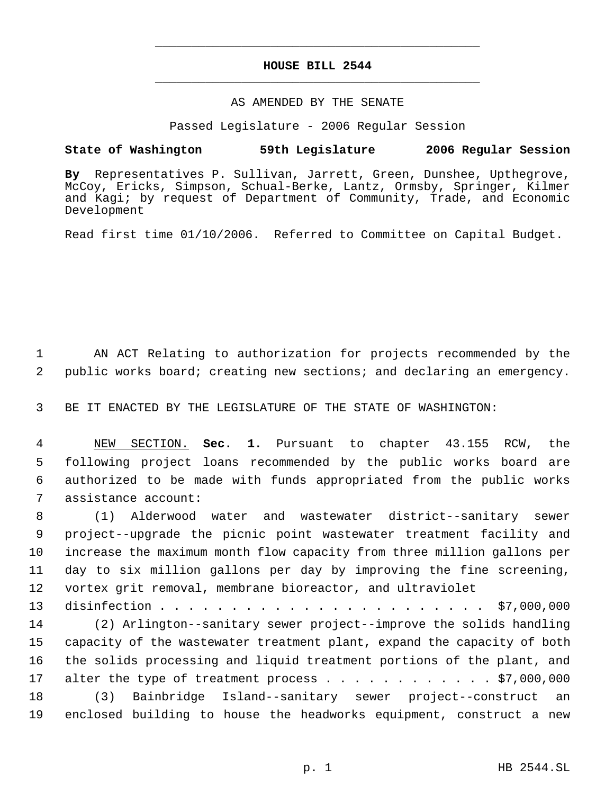## **HOUSE BILL 2544** \_\_\_\_\_\_\_\_\_\_\_\_\_\_\_\_\_\_\_\_\_\_\_\_\_\_\_\_\_\_\_\_\_\_\_\_\_\_\_\_\_\_\_\_\_

\_\_\_\_\_\_\_\_\_\_\_\_\_\_\_\_\_\_\_\_\_\_\_\_\_\_\_\_\_\_\_\_\_\_\_\_\_\_\_\_\_\_\_\_\_

## AS AMENDED BY THE SENATE

Passed Legislature - 2006 Regular Session

## **State of Washington 59th Legislature 2006 Regular Session**

**By** Representatives P. Sullivan, Jarrett, Green, Dunshee, Upthegrove, McCoy, Ericks, Simpson, Schual-Berke, Lantz, Ormsby, Springer, Kilmer and Kagi; by request of Department of Community, Trade, and Economic Development

Read first time 01/10/2006. Referred to Committee on Capital Budget.

 1 AN ACT Relating to authorization for projects recommended by the 2 public works board; creating new sections; and declaring an emergency.

3 BE IT ENACTED BY THE LEGISLATURE OF THE STATE OF WASHINGTON:

 NEW SECTION. **Sec. 1.** Pursuant to chapter 43.155 RCW, the following project loans recommended by the public works board are authorized to be made with funds appropriated from the public works assistance account:

 (1) Alderwood water and wastewater district--sanitary sewer project--upgrade the picnic point wastewater treatment facility and increase the maximum month flow capacity from three million gallons per day to six million gallons per day by improving the fine screening, vortex grit removal, membrane bioreactor, and ultraviolet

 disinfection . . . . . . . . . . . . . . . . . . . . . . . \$7,000,000 (2) Arlington--sanitary sewer project--improve the solids handling capacity of the wastewater treatment plant, expand the capacity of both the solids processing and liquid treatment portions of the plant, and 17 alter the type of treatment process  $\ldots$  . . . . . . . . . . \$7,000,000 (3) Bainbridge Island--sanitary sewer project--construct an enclosed building to house the headworks equipment, construct a new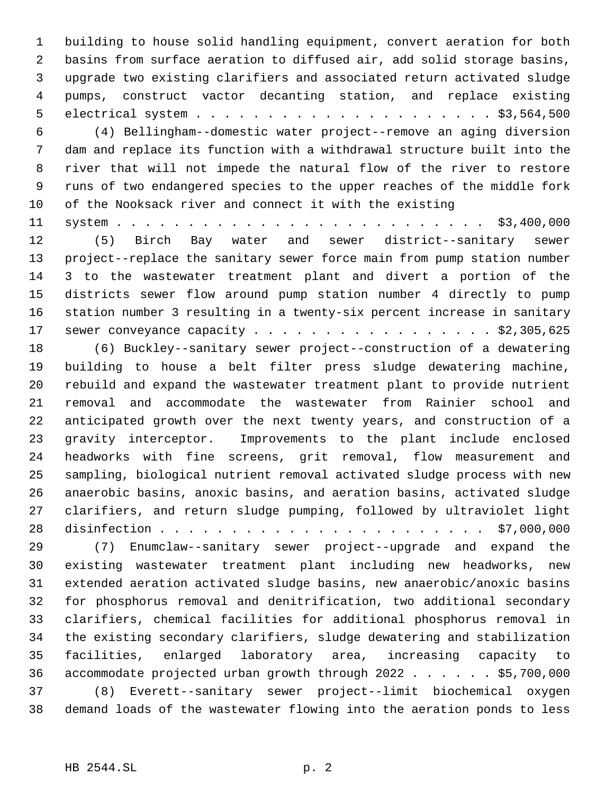building to house solid handling equipment, convert aeration for both basins from surface aeration to diffused air, add solid storage basins, upgrade two existing clarifiers and associated return activated sludge pumps, construct vactor decanting station, and replace existing electrical system . . . . . . . . . . . . . . . . . . . . . \$3,564,500

 (4) Bellingham--domestic water project--remove an aging diversion dam and replace its function with a withdrawal structure built into the river that will not impede the natural flow of the river to restore runs of two endangered species to the upper reaches of the middle fork of the Nooksack river and connect it with the existing

 system . . . . . . . . . . . . . . . . . . . . . . . . . . \$3,400,000 (5) Birch Bay water and sewer district--sanitary sewer project--replace the sanitary sewer force main from pump station number 3 to the wastewater treatment plant and divert a portion of the districts sewer flow around pump station number 4 directly to pump station number 3 resulting in a twenty-six percent increase in sanitary 17 sewer conveyance capacity . . . . . . . . . . . . . . . . . \$2,305,625

 (6) Buckley--sanitary sewer project--construction of a dewatering building to house a belt filter press sludge dewatering machine, rebuild and expand the wastewater treatment plant to provide nutrient removal and accommodate the wastewater from Rainier school and anticipated growth over the next twenty years, and construction of a gravity interceptor. Improvements to the plant include enclosed headworks with fine screens, grit removal, flow measurement and sampling, biological nutrient removal activated sludge process with new anaerobic basins, anoxic basins, and aeration basins, activated sludge clarifiers, and return sludge pumping, followed by ultraviolet light disinfection . . . . . . . . . . . . . . . . . . . . . . . \$7,000,000

 (7) Enumclaw--sanitary sewer project--upgrade and expand the existing wastewater treatment plant including new headworks, new extended aeration activated sludge basins, new anaerobic/anoxic basins for phosphorus removal and denitrification, two additional secondary clarifiers, chemical facilities for additional phosphorus removal in the existing secondary clarifiers, sludge dewatering and stabilization facilities, enlarged laboratory area, increasing capacity to accommodate projected urban growth through 2022 . . . . . . \$5,700,000 (8) Everett--sanitary sewer project--limit biochemical oxygen demand loads of the wastewater flowing into the aeration ponds to less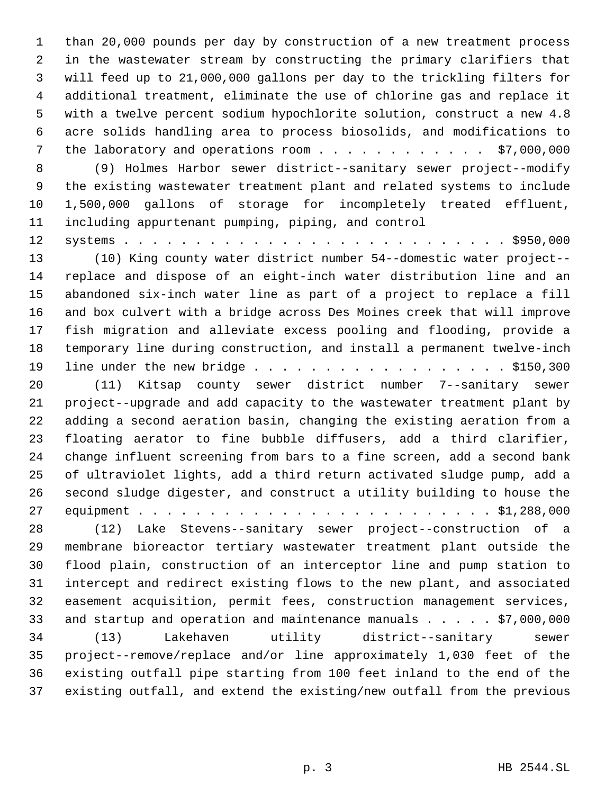than 20,000 pounds per day by construction of a new treatment process in the wastewater stream by constructing the primary clarifiers that will feed up to 21,000,000 gallons per day to the trickling filters for additional treatment, eliminate the use of chlorine gas and replace it with a twelve percent sodium hypochlorite solution, construct a new 4.8 acre solids handling area to process biosolids, and modifications to 7 the laboratory and operations room . . . . . . . . . . . . \$7,000,000

 (9) Holmes Harbor sewer district--sanitary sewer project--modify the existing wastewater treatment plant and related systems to include 1,500,000 gallons of storage for incompletely treated effluent, including appurtenant pumping, piping, and control

 systems . . . . . . . . . . . . . . . . . . . . . . . . . . . \$950,000 (10) King county water district number 54--domestic water project-- replace and dispose of an eight-inch water distribution line and an abandoned six-inch water line as part of a project to replace a fill and box culvert with a bridge across Des Moines creek that will improve fish migration and alleviate excess pooling and flooding, provide a temporary line during construction, and install a permanent twelve-inch 19 line under the new bridge . . . . . . . . . . . . . . . . . . \$150,300

 (11) Kitsap county sewer district number 7--sanitary sewer project--upgrade and add capacity to the wastewater treatment plant by adding a second aeration basin, changing the existing aeration from a floating aerator to fine bubble diffusers, add a third clarifier, change influent screening from bars to a fine screen, add a second bank of ultraviolet lights, add a third return activated sludge pump, add a second sludge digester, and construct a utility building to house the equipment . . . . . . . . . . . . . . . . . . . . . . . . . \$1,288,000

 (12) Lake Stevens--sanitary sewer project--construction of a membrane bioreactor tertiary wastewater treatment plant outside the flood plain, construction of an interceptor line and pump station to intercept and redirect existing flows to the new plant, and associated easement acquisition, permit fees, construction management services, 33 and startup and operation and maintenance manuals . . . . . \$7,000,000 (13) Lakehaven utility district--sanitary sewer project--remove/replace and/or line approximately 1,030 feet of the existing outfall pipe starting from 100 feet inland to the end of the existing outfall, and extend the existing/new outfall from the previous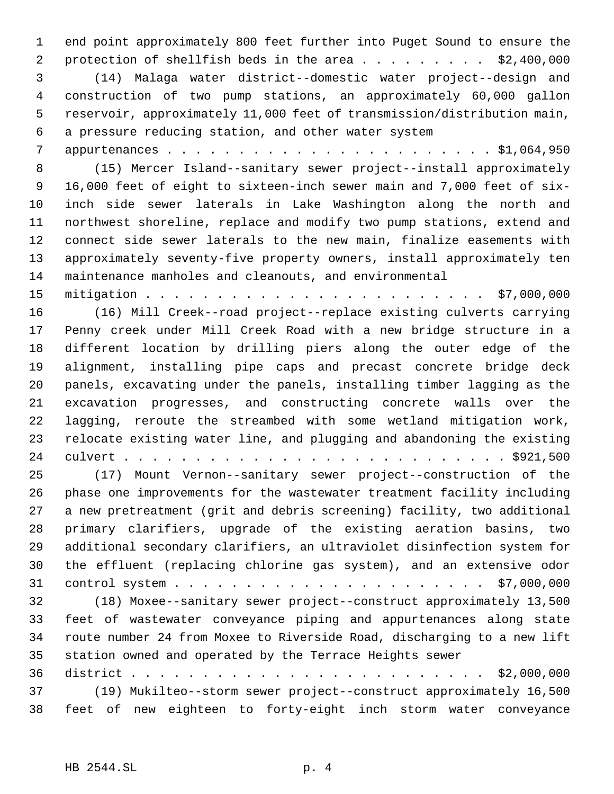end point approximately 800 feet further into Puget Sound to ensure the 2 protection of shellfish beds in the area . . . . . . . . . \$2,400,000 (14) Malaga water district--domestic water project--design and construction of two pump stations, an approximately 60,000 gallon reservoir, approximately 11,000 feet of transmission/distribution main, a pressure reducing station, and other water system

 appurtenances . . . . . . . . . . . . . . . . . . . . . . . \$1,064,950 (15) Mercer Island--sanitary sewer project--install approximately 16,000 feet of eight to sixteen-inch sewer main and 7,000 feet of six- inch side sewer laterals in Lake Washington along the north and northwest shoreline, replace and modify two pump stations, extend and connect side sewer laterals to the new main, finalize easements with approximately seventy-five property owners, install approximately ten maintenance manholes and cleanouts, and environmental

 mitigation . . . . . . . . . . . . . . . . . . . . . . . . \$7,000,000 (16) Mill Creek--road project--replace existing culverts carrying Penny creek under Mill Creek Road with a new bridge structure in a different location by drilling piers along the outer edge of the alignment, installing pipe caps and precast concrete bridge deck panels, excavating under the panels, installing timber lagging as the excavation progresses, and constructing concrete walls over the lagging, reroute the streambed with some wetland mitigation work, relocate existing water line, and plugging and abandoning the existing culvert . . . . . . . . . . . . . . . . . . . . . . . . . . . \$921,500 (17) Mount Vernon--sanitary sewer project--construction of the phase one improvements for the wastewater treatment facility including a new pretreatment (grit and debris screening) facility, two additional primary clarifiers, upgrade of the existing aeration basins, two additional secondary clarifiers, an ultraviolet disinfection system for the effluent (replacing chlorine gas system), and an extensive odor

control system . . . . . . . . . . . . . . . . . . . . . . \$7,000,000

 (18) Moxee--sanitary sewer project--construct approximately 13,500 feet of wastewater conveyance piping and appurtenances along state route number 24 from Moxee to Riverside Road, discharging to a new lift station owned and operated by the Terrace Heights sewer

 district . . . . . . . . . . . . . . . . . . . . . . . . . \$2,000,000 (19) Mukilteo--storm sewer project--construct approximately 16,500 feet of new eighteen to forty-eight inch storm water conveyance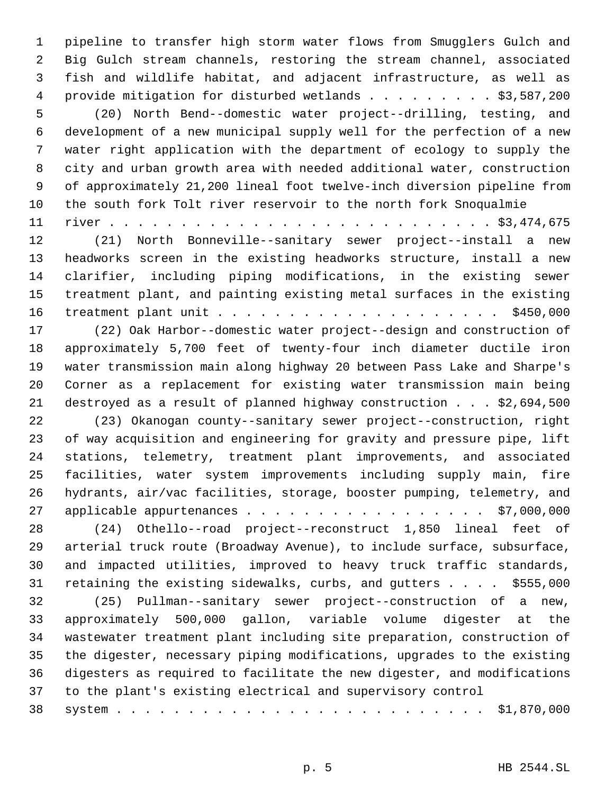pipeline to transfer high storm water flows from Smugglers Gulch and Big Gulch stream channels, restoring the stream channel, associated fish and wildlife habitat, and adjacent infrastructure, as well as 4 provide mitigation for disturbed wetlands . . . . . . . . \$3,587,200 (20) North Bend--domestic water project--drilling, testing, and development of a new municipal supply well for the perfection of a new water right application with the department of ecology to supply the city and urban growth area with needed additional water, construction of approximately 21,200 lineal foot twelve-inch diversion pipeline from the south fork Tolt river reservoir to the north fork Snoqualmie river . . . . . . . . . . . . . . . . . . . . . . . . . . . \$3,474,675

 (21) North Bonneville--sanitary sewer project--install a new headworks screen in the existing headworks structure, install a new clarifier, including piping modifications, in the existing sewer treatment plant, and painting existing metal surfaces in the existing treatment plant unit . . . . . . . . . . . . . . . . . . . . \$450,000

 (22) Oak Harbor--domestic water project--design and construction of approximately 5,700 feet of twenty-four inch diameter ductile iron water transmission main along highway 20 between Pass Lake and Sharpe's Corner as a replacement for existing water transmission main being destroyed as a result of planned highway construction . . . \$2,694,500

 (23) Okanogan county--sanitary sewer project--construction, right of way acquisition and engineering for gravity and pressure pipe, lift stations, telemetry, treatment plant improvements, and associated facilities, water system improvements including supply main, fire hydrants, air/vac facilities, storage, booster pumping, telemetry, and 27 applicable appurtenances . . . . . . . . . . . . . . . . . \$7,000,000

 (24) Othello--road project--reconstruct 1,850 lineal feet of arterial truck route (Broadway Avenue), to include surface, subsurface, and impacted utilities, improved to heavy truck traffic standards, 31 retaining the existing sidewalks, curbs, and gutters . . . . \$555,000

 (25) Pullman--sanitary sewer project--construction of a new, approximately 500,000 gallon, variable volume digester at the wastewater treatment plant including site preparation, construction of the digester, necessary piping modifications, upgrades to the existing digesters as required to facilitate the new digester, and modifications to the plant's existing electrical and supervisory control

|--|--|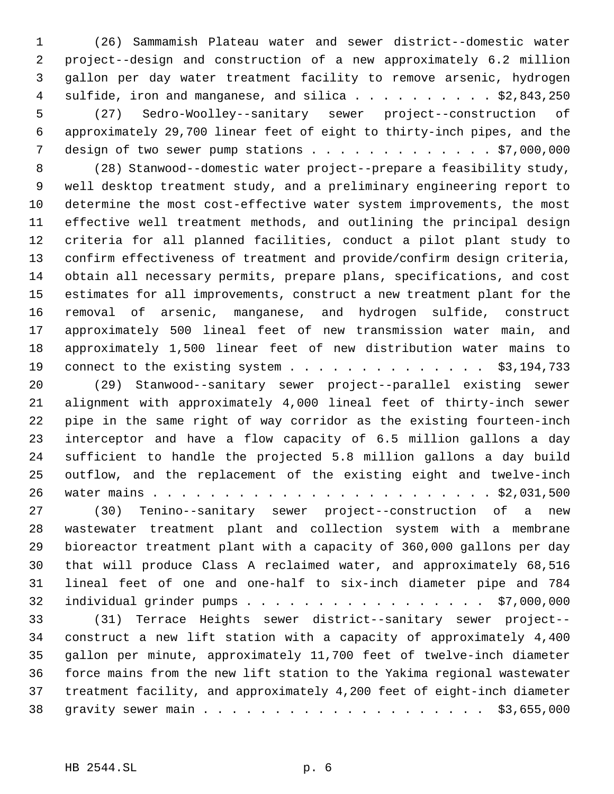(26) Sammamish Plateau water and sewer district--domestic water project--design and construction of a new approximately 6.2 million gallon per day water treatment facility to remove arsenic, hydrogen 4 sulfide, iron and manganese, and silica . . . . . . . . . . \$2,843,250 (27) Sedro-Woolley--sanitary sewer project--construction of approximately 29,700 linear feet of eight to thirty-inch pipes, and the 7 design of two sewer pump stations . . . . . . . . . . . . . \$7,000,000

 (28) Stanwood--domestic water project--prepare a feasibility study, well desktop treatment study, and a preliminary engineering report to determine the most cost-effective water system improvements, the most effective well treatment methods, and outlining the principal design criteria for all planned facilities, conduct a pilot plant study to confirm effectiveness of treatment and provide/confirm design criteria, obtain all necessary permits, prepare plans, specifications, and cost estimates for all improvements, construct a new treatment plant for the removal of arsenic, manganese, and hydrogen sulfide, construct approximately 500 lineal feet of new transmission water main, and approximately 1,500 linear feet of new distribution water mains to 19 connect to the existing system . . . . . . . . . . . . . . \$3,194,733

 (29) Stanwood--sanitary sewer project--parallel existing sewer alignment with approximately 4,000 lineal feet of thirty-inch sewer pipe in the same right of way corridor as the existing fourteen-inch interceptor and have a flow capacity of 6.5 million gallons a day sufficient to handle the projected 5.8 million gallons a day build outflow, and the replacement of the existing eight and twelve-inch water mains . . . . . . . . . . . . . . . . . . . . . . . . \$2,031,500

 (30) Tenino--sanitary sewer project--construction of a new wastewater treatment plant and collection system with a membrane bioreactor treatment plant with a capacity of 360,000 gallons per day that will produce Class A reclaimed water, and approximately 68,516 lineal feet of one and one-half to six-inch diameter pipe and 784 individual grinder pumps . . . . . . . . . . . . . . . . . \$7,000,000

 (31) Terrace Heights sewer district--sanitary sewer project-- construct a new lift station with a capacity of approximately 4,400 gallon per minute, approximately 11,700 feet of twelve-inch diameter force mains from the new lift station to the Yakima regional wastewater treatment facility, and approximately 4,200 feet of eight-inch diameter gravity sewer main . . . . . . . . . . . . . . . . . . . . \$3,655,000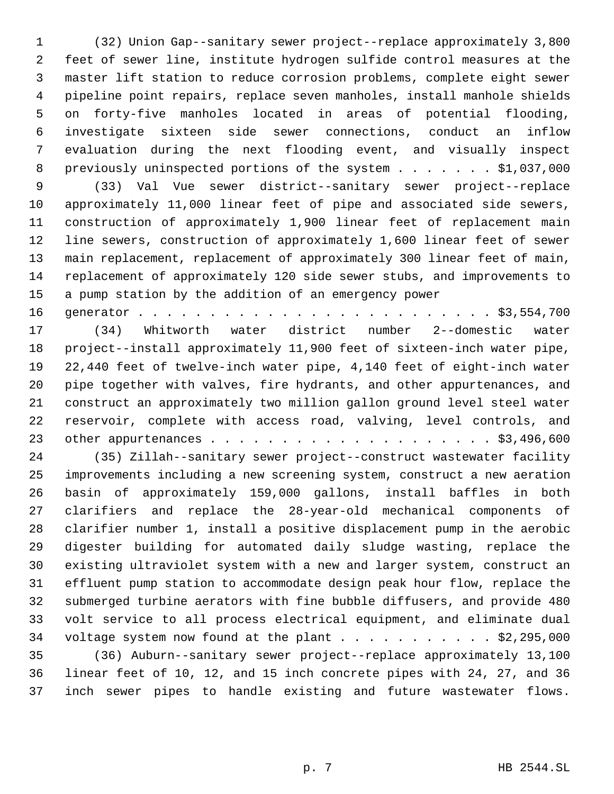(32) Union Gap--sanitary sewer project--replace approximately 3,800 feet of sewer line, institute hydrogen sulfide control measures at the master lift station to reduce corrosion problems, complete eight sewer pipeline point repairs, replace seven manholes, install manhole shields on forty-five manholes located in areas of potential flooding, investigate sixteen side sewer connections, conduct an inflow evaluation during the next flooding event, and visually inspect 8 previously uninspected portions of the system . . . . . . \$1,037,000

 (33) Val Vue sewer district--sanitary sewer project--replace approximately 11,000 linear feet of pipe and associated side sewers, construction of approximately 1,900 linear feet of replacement main line sewers, construction of approximately 1,600 linear feet of sewer main replacement, replacement of approximately 300 linear feet of main, replacement of approximately 120 side sewer stubs, and improvements to a pump station by the addition of an emergency power

generator . . . . . . . . . . . . . . . . . . . . . . . . . \$3,554,700

 (34) Whitworth water district number 2--domestic water project--install approximately 11,900 feet of sixteen-inch water pipe, 22,440 feet of twelve-inch water pipe, 4,140 feet of eight-inch water pipe together with valves, fire hydrants, and other appurtenances, and construct an approximately two million gallon ground level steel water reservoir, complete with access road, valving, level controls, and other appurtenances . . . . . . . . . . . . . . . . . . . . \$3,496,600

 (35) Zillah--sanitary sewer project--construct wastewater facility improvements including a new screening system, construct a new aeration basin of approximately 159,000 gallons, install baffles in both clarifiers and replace the 28-year-old mechanical components of clarifier number 1, install a positive displacement pump in the aerobic digester building for automated daily sludge wasting, replace the existing ultraviolet system with a new and larger system, construct an effluent pump station to accommodate design peak hour flow, replace the submerged turbine aerators with fine bubble diffusers, and provide 480 volt service to all process electrical equipment, and eliminate dual 34 voltage system now found at the plant  $\ldots$  . . . . . . . . . \$2,295,000 (36) Auburn--sanitary sewer project--replace approximately 13,100 linear feet of 10, 12, and 15 inch concrete pipes with 24, 27, and 36

inch sewer pipes to handle existing and future wastewater flows.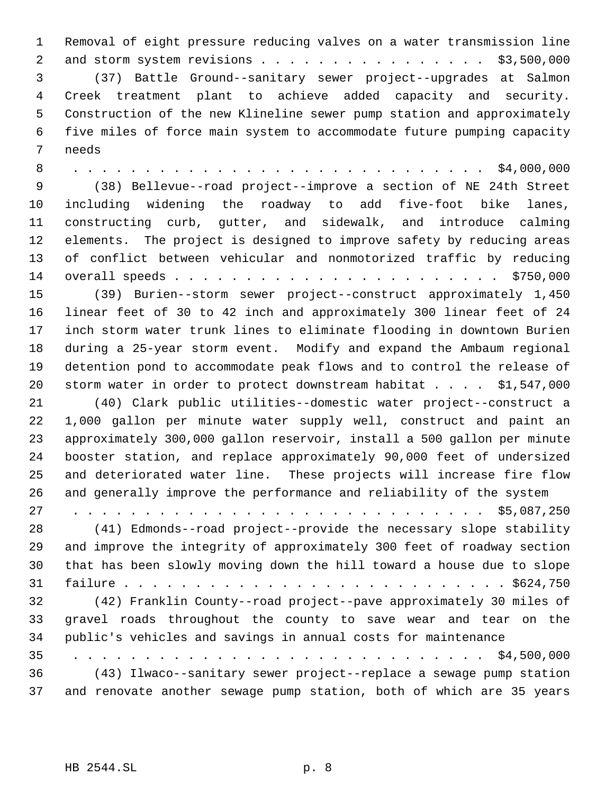Removal of eight pressure reducing valves on a water transmission line 2 and storm system revisions . . . . . . . . . . . . . . . . \$3,500,000 (37) Battle Ground--sanitary sewer project--upgrades at Salmon Creek treatment plant to achieve added capacity and security. Construction of the new Klineline sewer pump station and approximately five miles of force main system to accommodate future pumping capacity needs

 8 . . . . . . . . . . . . . . . . . . . . . . . . . . . . . \$4,000,000 (38) Bellevue--road project--improve a section of NE 24th Street including widening the roadway to add five-foot bike lanes, constructing curb, gutter, and sidewalk, and introduce calming elements. The project is designed to improve safety by reducing areas of conflict between vehicular and nonmotorized traffic by reducing overall speeds . . . . . . . . . . . . . . . . . . . . . . . \$750,000 (39) Burien--storm sewer project--construct approximately 1,450

 linear feet of 30 to 42 inch and approximately 300 linear feet of 24 inch storm water trunk lines to eliminate flooding in downtown Burien during a 25-year storm event. Modify and expand the Ambaum regional detention pond to accommodate peak flows and to control the release of storm water in order to protect downstream habitat . . . . \$1,547,000

 (40) Clark public utilities--domestic water project--construct a 1,000 gallon per minute water supply well, construct and paint an approximately 300,000 gallon reservoir, install a 500 gallon per minute booster station, and replace approximately 90,000 feet of undersized and deteriorated water line. These projects will increase fire flow and generally improve the performance and reliability of the system

27 . . . . . . . . . . . . . . . . . . . . . . . . . . . . . \$5,087,250 (41) Edmonds--road project--provide the necessary slope stability and improve the integrity of approximately 300 feet of roadway section that has been slowly moving down the hill toward a house due to slope failure . . . . . . . . . . . . . . . . . . . . . . . . . . . \$624,750 (42) Franklin County--road project--pave approximately 30 miles of gravel roads throughout the county to save wear and tear on the public's vehicles and savings in annual costs for maintenance 35 . . . . . . . . . . . . . . . . . . . . . . . . . . . . . \$4,500,000

 (43) Ilwaco--sanitary sewer project--replace a sewage pump station and renovate another sewage pump station, both of which are 35 years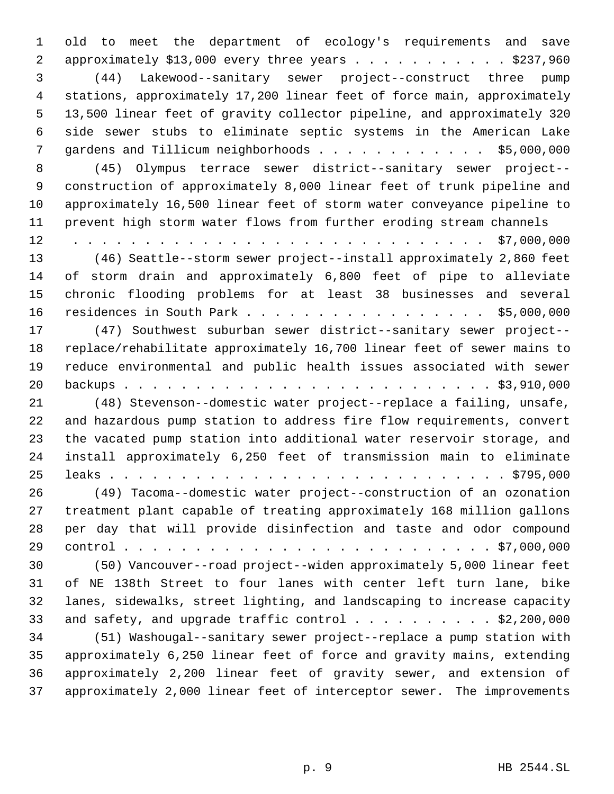old to meet the department of ecology's requirements and save 2 approximately \$13,000 every three years . . . . . . . . . . . \$237,960 (44) Lakewood--sanitary sewer project--construct three pump stations, approximately 17,200 linear feet of force main, approximately 13,500 linear feet of gravity collector pipeline, and approximately 320 side sewer stubs to eliminate septic systems in the American Lake gardens and Tillicum neighborhoods . . . . . . . . . . . . \$5,000,000 (45) Olympus terrace sewer district--sanitary sewer project-- construction of approximately 8,000 linear feet of trunk pipeline and approximately 16,500 linear feet of storm water conveyance pipeline to prevent high storm water flows from further eroding stream channels 12 . . . . . . . . . . . . . . . . . . . . . . . . . . . . . \$7,000,000 (46) Seattle--storm sewer project--install approximately 2,860 feet of storm drain and approximately 6,800 feet of pipe to alleviate chronic flooding problems for at least 38 businesses and several residences in South Park . . . . . . . . . . . . . . . . . \$5,000,000 (47) Southwest suburban sewer district--sanitary sewer project-- replace/rehabilitate approximately 16,700 linear feet of sewer mains to reduce environmental and public health issues associated with sewer backups . . . . . . . . . . . . . . . . . . . . . . . . . . \$3,910,000 (48) Stevenson--domestic water project--replace a failing, unsafe, and hazardous pump station to address fire flow requirements, convert the vacated pump station into additional water reservoir storage, and install approximately 6,250 feet of transmission main to eliminate leaks . . . . . . . . . . . . . . . . . . . . . . . . . . . . \$795,000 (49) Tacoma--domestic water project--construction of an ozonation treatment plant capable of treating approximately 168 million gallons per day that will provide disinfection and taste and odor compound control . . . . . . . . . . . . . . . . . . . . . . . . . . \$7,000,000 (50) Vancouver--road project--widen approximately 5,000 linear feet of NE 138th Street to four lanes with center left turn lane, bike lanes, sidewalks, street lighting, and landscaping to increase capacity 33 and safety, and upgrade traffic control  $\ldots$  . . . . . . . \$2,200,000 (51) Washougal--sanitary sewer project--replace a pump station with approximately 6,250 linear feet of force and gravity mains, extending approximately 2,200 linear feet of gravity sewer, and extension of approximately 2,000 linear feet of interceptor sewer. The improvements